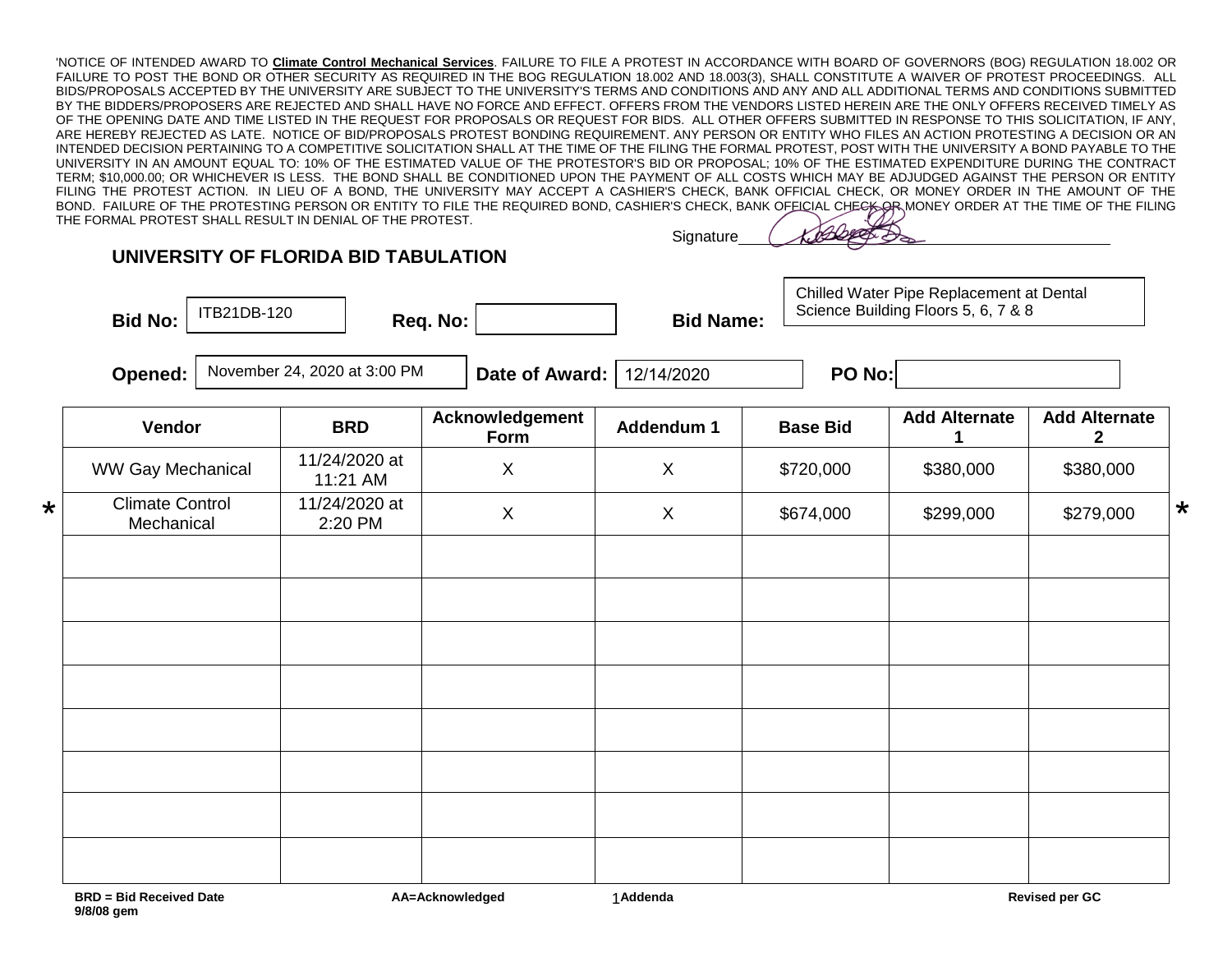'NOTICE OF INTENDED AWARD TO **Climate Control Mechanical Services**. FAILURE TO FILE A PROTEST IN ACCORDANCE WITH BOARD OF GOVERNORS (BOG) REGULATION 18.002 OR FAILURE TO POST THE BOND OR OTHER SECURITY AS REQUIRED IN THE BOG REGULATION 18.002 AND 18.003(3), SHALL CONSTITUTE A WAIVER OF PROTEST PROCEEDINGS. ALL BIDS/PROPOSALS ACCEPTED BY THE UNIVERSITY ARE SUBJECT TO THE UNIVERSITY'S TERMS AND CONDITIONS AND ANY AND ALL ADDITIONAL TERMS AND CONDITIONS SUBMITTED BY THE BIDDERS/PROPOSERS ARE REJECTED AND SHALL HAVE NO FORCE AND EFFECT. OFFERS FROM THE VENDORS LISTED HEREIN ARE THE ONLY OFFERS RECEIVED TIMELY AS OF THE OPENING DATE AND TIME LISTED IN THE REQUEST FOR PROPOSALS OR REQUEST FOR BIDS. ALL OTHER OFFERS SUBMITTED IN RESPONSE TO THIS SOLICITATION, IF ANY, ARE HEREBY REJECTED AS LATE. NOTICE OF BID/PROPOSALS PROTEST BONDING REQUIREMENT. ANY PERSON OR ENTITY WHO FILES AN ACTION PROTESTING A DECISION OR AN INTENDED DECISION PERTAINING TO A COMPETITIVE SOLICITATION SHALL AT THE TIME OF THE FILING THE FORMAL PROTEST, POST WITH THE UNIVERSITY A BOND PAYABLE TO THE UNIVERSITY IN AN AMOUNT EQUAL TO: 10% OF THE ESTIMATED VALUE OF THE PROTESTOR'S BID OR PROPOSAL; 10% OF THE ESTIMATED EXPENDITURE DURING THE CONTRACT TERM; \$10,000.00; OR WHICHEVER IS LESS. THE BOND SHALL BE CONDITIONED UPON THE PAYMENT OF ALL COSTS WHICH MAY BE ADJUDGED AGAINST THE PERSON OR ENTITY FILING THE PROTEST ACTION. IN LIEU OF A BOND, THE UNIVERSITY MAY ACCEPT A CASHIER'S CHECK, BANK OFFICIAL CHECK, OR MONEY ORDER IN THE AMOUNT OF THE BOND. FAILURE OF THE PROTESTING PERSON OR ENTITY TO FILE THE REQUIRED BOND, CASHIER'S CHECK, BANK OFFICIAL CHECK ORDER AT THE TIME OF THE FILING THE FORMAL PROTEST SHALL RESULT IN DENIAL OF THE PROTEST.

## **UNIVERSITY OF FLORIDA BID TABULATION**

Bid No:  $\vert$   $\vert$  II DZ IDD-120  $\vert$  Req. No:  $\vert$  Bid Name: ITB21DB-120

**Signature** 

Chilled Water Pipe Replacement at Dental Science Building Floors 5, 6, 7 & 8

**Opened:** November 24, 2020 at 3:00 PM  $\blacksquare$  **Date of Award:** 12/14/2020  $\blacksquare$  **PO No:** 12/14/2020

|         | Vendor                               | <b>BRD</b>                | Acknowledgement<br>Form | Addendum 1   | <b>Base Bid</b> | <b>Add Alternate</b> | <b>Add Alternate</b><br>$\mathbf{2}$ |
|---------|--------------------------------------|---------------------------|-------------------------|--------------|-----------------|----------------------|--------------------------------------|
|         | <b>WW Gay Mechanical</b>             | 11/24/2020 at<br>11:21 AM | $\mathsf X$             | $\mathsf{X}$ | \$720,000       | \$380,000            | \$380,000                            |
| $\star$ | <b>Climate Control</b><br>Mechanical | 11/24/2020 at<br>2:20 PM  | $\pmb{\times}$          | $\mathsf{X}$ | \$674,000       | \$299,000            | \$279,000                            |
|         |                                      |                           |                         |              |                 |                      |                                      |
|         |                                      |                           |                         |              |                 |                      |                                      |
|         |                                      |                           |                         |              |                 |                      |                                      |
|         |                                      |                           |                         |              |                 |                      |                                      |
|         |                                      |                           |                         |              |                 |                      |                                      |
|         |                                      |                           |                         |              |                 |                      |                                      |
|         |                                      |                           |                         |              |                 |                      |                                      |
|         | <b>BRD</b> = Bid Received Date       |                           | AA=Acknowledged         | 1 Addenda    |                 |                      | <b>Revised per GC</b>                |